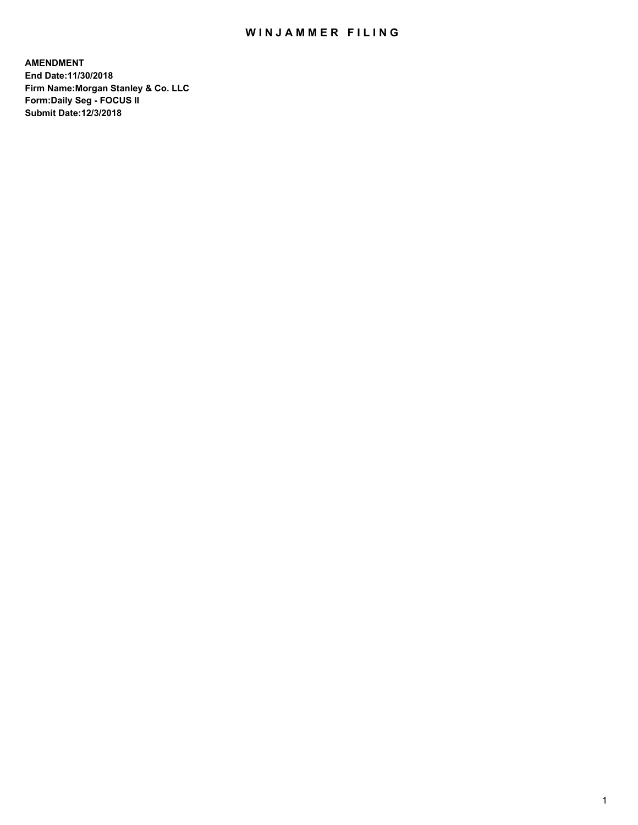## WIN JAMMER FILING

**AMENDMENT End Date:11/30/2018 Firm Name:Morgan Stanley & Co. LLC Form:Daily Seg - FOCUS II Submit Date:12/3/2018**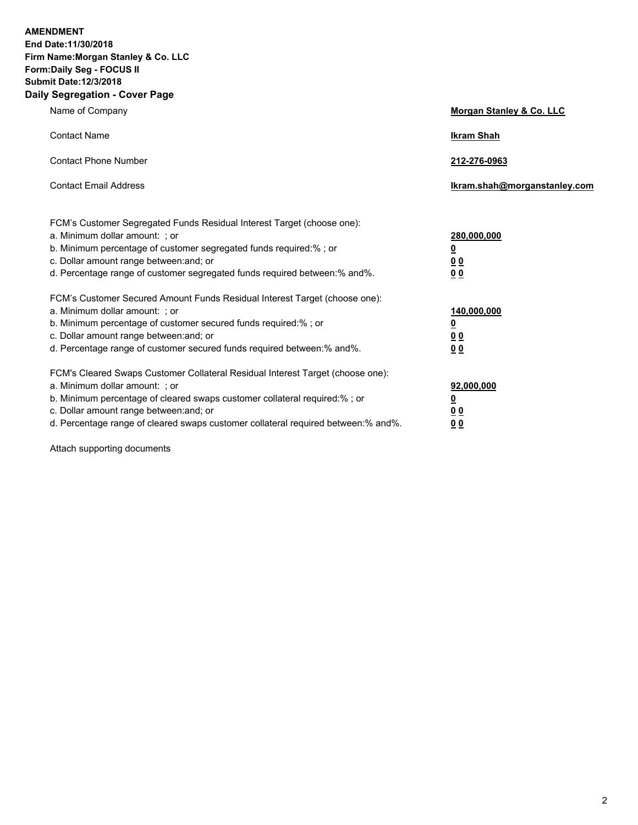**AMENDMENT End Date:11/30/2018 Firm Name:Morgan Stanley & Co. LLC Form:Daily Seg - FOCUS II Submit Date:12/3/2018 Daily Segregation - Cover Page**

| y Jegregation - Gover Fage                                                                               |                              |  |  |  |
|----------------------------------------------------------------------------------------------------------|------------------------------|--|--|--|
| Name of Company                                                                                          | Morgan Stanley & Co. LLC     |  |  |  |
| <b>Contact Name</b>                                                                                      | <b>Ikram Shah</b>            |  |  |  |
| <b>Contact Phone Number</b>                                                                              | 212-276-0963                 |  |  |  |
| <b>Contact Email Address</b>                                                                             | Ikram.shah@morganstanley.com |  |  |  |
| FCM's Customer Segregated Funds Residual Interest Target (choose one):<br>a. Minimum dollar amount: ; or | 280,000,000                  |  |  |  |
| b. Minimum percentage of customer segregated funds required:% ; or                                       | ₫                            |  |  |  |
| c. Dollar amount range between: and; or                                                                  | 00                           |  |  |  |
| d. Percentage range of customer segregated funds required between:% and%.                                | 00                           |  |  |  |
| FCM's Customer Secured Amount Funds Residual Interest Target (choose one):                               |                              |  |  |  |
| a. Minimum dollar amount: ; or                                                                           | 140,000,000                  |  |  |  |
| b. Minimum percentage of customer secured funds required:%; or                                           | <u>0</u>                     |  |  |  |
| c. Dollar amount range between: and; or                                                                  | 0 <sub>0</sub>               |  |  |  |
| d. Percentage range of customer secured funds required between:% and%.                                   | 0 <sub>0</sub>               |  |  |  |
| FCM's Cleared Swaps Customer Collateral Residual Interest Target (choose one):                           |                              |  |  |  |
| a. Minimum dollar amount: ; or                                                                           | 92,000,000                   |  |  |  |
| b. Minimum percentage of cleared swaps customer collateral required:% ; or                               | ₫                            |  |  |  |
| c. Dollar amount range between: and; or                                                                  | 00                           |  |  |  |
| d. Percentage range of cleared swaps customer collateral required between: % and %.                      | 0 <sub>0</sub>               |  |  |  |
|                                                                                                          |                              |  |  |  |

Attach supporting documents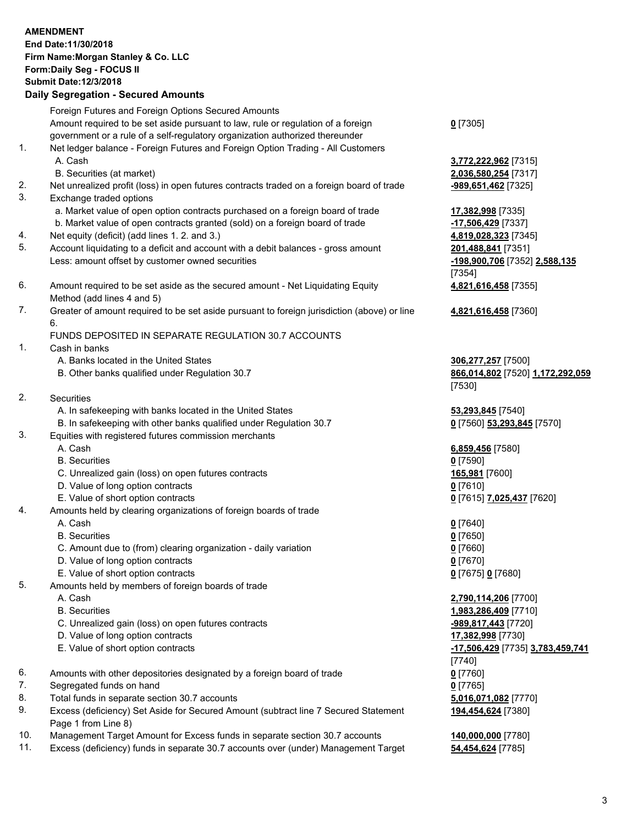|    | <b>AMENDMENT</b>                                                                            |                                         |
|----|---------------------------------------------------------------------------------------------|-----------------------------------------|
|    | End Date: 11/30/2018                                                                        |                                         |
|    | Firm Name: Morgan Stanley & Co. LLC                                                         |                                         |
|    | Form: Daily Seg - FOCUS II                                                                  |                                         |
|    | <b>Submit Date:12/3/2018</b>                                                                |                                         |
|    | <b>Daily Segregation - Secured Amounts</b>                                                  |                                         |
|    | Foreign Futures and Foreign Options Secured Amounts                                         |                                         |
|    | Amount required to be set aside pursuant to law, rule or regulation of a foreign            | $0$ [7305]                              |
|    | government or a rule of a self-regulatory organization authorized thereunder                |                                         |
| 1. | Net ledger balance - Foreign Futures and Foreign Option Trading - All Customers             |                                         |
|    | A. Cash                                                                                     | 3,772,222,962 [7315]                    |
|    | B. Securities (at market)                                                                   | 2,036,580,254 [7317]                    |
| 2. | Net unrealized profit (loss) in open futures contracts traded on a foreign board of trade   | -989,651,462 [7325]                     |
| 3. | Exchange traded options                                                                     |                                         |
|    | a. Market value of open option contracts purchased on a foreign board of trade              | 17,382,998 [7335]                       |
|    | b. Market value of open contracts granted (sold) on a foreign board of trade                | -17,506,429 [7337]                      |
| 4. | Net equity (deficit) (add lines 1.2. and 3.)                                                | 4,819,028,323 [7345]                    |
| 5. | Account liquidating to a deficit and account with a debit balances - gross amount           | 201,488,841 [7351]                      |
|    | Less: amount offset by customer owned securities                                            | -198,900,706 [7352] 2,588,135           |
|    |                                                                                             | [7354]                                  |
| 6. | Amount required to be set aside as the secured amount - Net Liquidating Equity              | 4,821,616,458 [7355]                    |
|    | Method (add lines 4 and 5)                                                                  |                                         |
| 7. | Greater of amount required to be set aside pursuant to foreign jurisdiction (above) or line | 4,821,616,458 [7360]                    |
|    | 6.                                                                                          |                                         |
|    | FUNDS DEPOSITED IN SEPARATE REGULATION 30.7 ACCOUNTS                                        |                                         |
| 1. | Cash in banks                                                                               |                                         |
|    | A. Banks located in the United States                                                       | 306,277,257 [7500]                      |
|    | B. Other banks qualified under Regulation 30.7                                              | 866,014,802 [7520] 1,172,292,059        |
|    |                                                                                             | [7530]                                  |
| 2. | Securities                                                                                  |                                         |
|    | A. In safekeeping with banks located in the United States                                   | 53,293,845 [7540]                       |
|    | B. In safekeeping with other banks qualified under Regulation 30.7                          | 0 [7560] 53,293,845 [7570]              |
| 3. | Equities with registered futures commission merchants                                       |                                         |
|    | A. Cash                                                                                     | 6,859,456 [7580]                        |
|    | <b>B.</b> Securities                                                                        | $0$ [7590]                              |
|    | C. Unrealized gain (loss) on open futures contracts                                         | 165,981 [7600]                          |
|    | D. Value of long option contracts                                                           | $0$ [7610]                              |
|    | E. Value of short option contracts                                                          | 0 [7615] 7,025,437 [7620]               |
| 4. | Amounts held by clearing organizations of foreign boards of trade                           |                                         |
|    | A. Cash                                                                                     | $0$ [7640]                              |
|    | <b>B.</b> Securities                                                                        | $0$ [7650]                              |
|    | C. Amount due to (from) clearing organization - daily variation                             | $0$ [7660]                              |
|    | D. Value of long option contracts                                                           | $0$ [7670]                              |
|    | E. Value of short option contracts                                                          | 0 [7675] 0 [7680]                       |
| 5. | Amounts held by members of foreign boards of trade                                          |                                         |
|    | A. Cash                                                                                     | 2,790,114,206 [7700]                    |
|    | <b>B.</b> Securities                                                                        | 1,983,286,409 [7710]                    |
|    | C. Unrealized gain (loss) on open futures contracts                                         | -989,817,443 [7720]                     |
|    | D. Value of long option contracts                                                           | 17,382,998 [7730]                       |
|    | E. Value of short option contracts                                                          | <u>-17,506,429</u> [7735] 3,783,459,741 |
|    |                                                                                             | [7740]                                  |
| 6. | Amounts with other depositories designated by a foreign board of trade                      | $0$ [7760]                              |
| 7. | Segregated funds on hand                                                                    | $0$ [7765]                              |
| 8. | Total funds in separate section 30.7 accounts                                               | 5,016,071,082 [7770]                    |
| 9. | Excess (deficiency) Set Aside for Secured Amount (subtract line 7 Secured Statement         | 194,454,624 [7380]                      |
|    |                                                                                             |                                         |

- Page 1 from Line 8)
- 10. Management Target Amount for Excess funds in separate section 30.7 accounts **140,000,000** [7780]<br>11. Excess (deficiency) funds in separate 30.7 accounts over (under) Management Target **54,454,624** [7785] Excess (deficiency) funds in separate 30.7 accounts over (under) Management Target **54,454,624** [7785]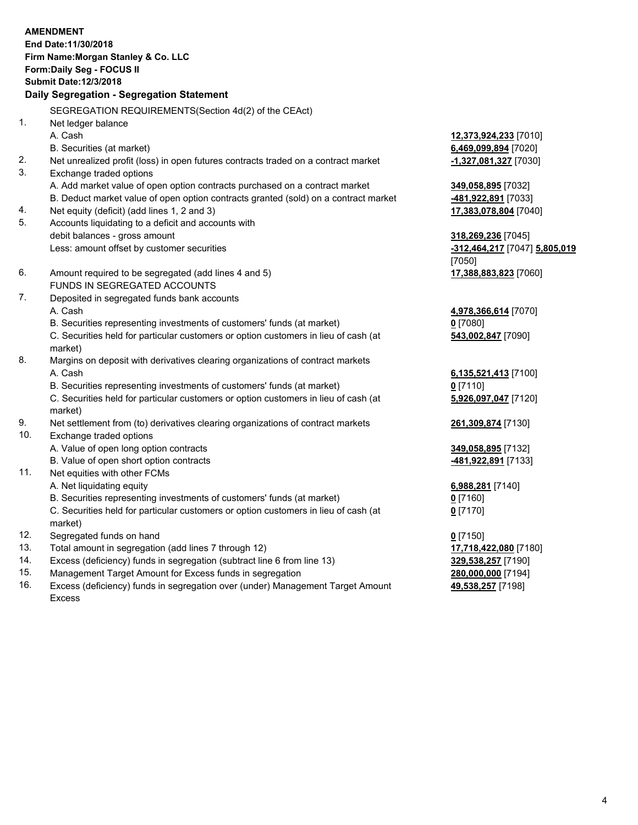|     | <b>AMENDMENT</b><br>End Date: 11/30/2018<br>Firm Name: Morgan Stanley & Co. LLC<br>Form: Daily Seg - FOCUS II<br><b>Submit Date: 12/3/2018</b> |                               |
|-----|------------------------------------------------------------------------------------------------------------------------------------------------|-------------------------------|
|     | Daily Segregation - Segregation Statement                                                                                                      |                               |
|     | SEGREGATION REQUIREMENTS(Section 4d(2) of the CEAct)                                                                                           |                               |
| 1.  | Net ledger balance                                                                                                                             |                               |
|     | A. Cash                                                                                                                                        | 12,373,924,233 [7010]         |
|     | B. Securities (at market)                                                                                                                      | 6,469,099,894 [7020]          |
| 2.  | Net unrealized profit (loss) in open futures contracts traded on a contract market                                                             | -1,327,081,327 [7030]         |
| 3.  | Exchange traded options                                                                                                                        |                               |
|     | A. Add market value of open option contracts purchased on a contract market                                                                    | 349,058,895 [7032]            |
|     | B. Deduct market value of open option contracts granted (sold) on a contract market                                                            | 481,922,891 [7033]            |
| 4.  | Net equity (deficit) (add lines 1, 2 and 3)                                                                                                    | 17,383,078,804 [7040]         |
| 5.  | Accounts liquidating to a deficit and accounts with                                                                                            |                               |
|     | debit balances - gross amount                                                                                                                  | 318,269,236 [7045]            |
|     | Less: amount offset by customer securities                                                                                                     | -312,464,217 [7047] 5,805,019 |
|     |                                                                                                                                                | [7050]                        |
| 6.  | Amount required to be segregated (add lines 4 and 5)                                                                                           | 17,388,883,823 [7060]         |
|     | FUNDS IN SEGREGATED ACCOUNTS                                                                                                                   |                               |
| 7.  | Deposited in segregated funds bank accounts                                                                                                    |                               |
|     | A. Cash                                                                                                                                        | 4,978,366,614 [7070]          |
|     | B. Securities representing investments of customers' funds (at market)                                                                         | 0 [7080]                      |
|     | C. Securities held for particular customers or option customers in lieu of cash (at<br>market)                                                 | 543,002,847 [7090]            |
| 8.  | Margins on deposit with derivatives clearing organizations of contract markets                                                                 |                               |
|     | A. Cash                                                                                                                                        | 6,135,521,413 [7100]          |
|     | B. Securities representing investments of customers' funds (at market)                                                                         | $0$ [7110]                    |
|     | C. Securities held for particular customers or option customers in lieu of cash (at<br>market)                                                 | 5,926,097,047 [7120]          |
| 9.  | Net settlement from (to) derivatives clearing organizations of contract markets                                                                | 261,309,874 [7130]            |
| 10. | Exchange traded options                                                                                                                        |                               |
|     | A. Value of open long option contracts                                                                                                         | 349,058,895 [7132]            |
|     | B. Value of open short option contracts                                                                                                        | -481,922,891 [7133]           |
| 11. | Net equities with other FCMs                                                                                                                   |                               |
|     | A. Net liquidating equity                                                                                                                      | 6,988,281 [7140]              |
|     | B. Securities representing investments of customers' funds (at market)                                                                         | $0$ [7160]                    |
|     | C. Securities held for particular customers or option customers in lieu of cash (at<br>market)                                                 | $0$ [7170]                    |
| 12. | Segregated funds on hand                                                                                                                       | $0$ [7150]                    |
| 13. | Total amount in segregation (add lines 7 through 12)                                                                                           | 17,718,422,080 [7180]         |
| 14. | Excess (deficiency) funds in segregation (subtract line 6 from line 13)                                                                        | 329,538,257 [7190]            |

- 
- 15. Management Target Amount for Excess funds in segregation<br>16. Excess (deficiency) funds in segregation over (under) Management Target Amount **280,000,000** [7198] Excess (deficiency) funds in segregation over (under) Management Target Amount Excess

**49,538,257** [7198]